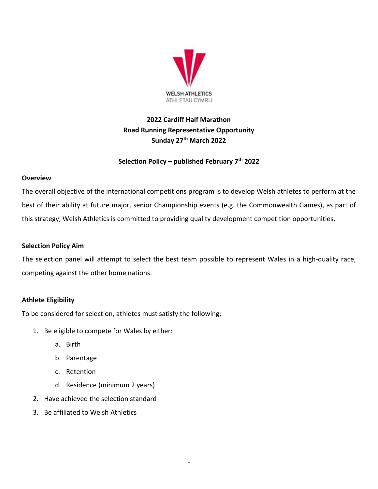

# **2022 Cardiff Half Marathon Road Running Representative Opportunity Sunday 27 th March 2022**

# **Selection Policy – published February 7 th 2022**

## **Overview**

The overall objective of the international competitions program is to develop Welsh athletes to perform at the best of their ability at future major, senior Championship events (e.g. the Commonwealth Games), as part of this strategy, Welsh Athletics is committed to providing quality development competition opportunities.

# **Selection Policy Aim**

The selection panel will attempt to select the best team possible to represent Wales in a high-quality race, competing against the other home nations.

# **Athlete Eligibility**

To be considered for selection, athletes must satisfy the following;

- 1. Be eligible to compete for Wales by either:
	- a. Birth
	- b. Parentage
	- c. Retention
	- d. Residence (minimum 2 years)
- 2. Have achieved the selection standard
- 3. Be affiliated to Welsh Athletics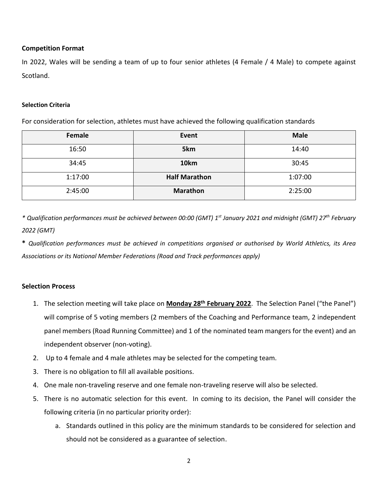#### **Competition Format**

In 2022, Wales will be sending a team of up to four senior athletes (4 Female / 4 Male) to compete against Scotland.

#### **Selection Criteria**

For consideration for selection, athletes must have achieved the following qualification standards

| Female  | Event                | <b>Male</b> |
|---------|----------------------|-------------|
| 16:50   | 5km                  | 14:40       |
| 34:45   | 10km                 | 30:45       |
| 1:17:00 | <b>Half Marathon</b> | 1:07:00     |
| 2:45:00 | <b>Marathon</b>      | 2:25:00     |

*\* Qualification performances must be achieved between 00:00 (GMT) 1st January 2021 and midnight (GMT) 27th February 2022 (GMT)* 

**\*** *Qualification performances must be achieved in competitions organised or authorised by World Athletics, its Area Associations or its National Member Federations (Road and Track performances apply)* 

## **Selection Process**

- 1. The selection meeting will take place on **Monday 28 th February 2022**. The Selection Panel ("the Panel") will comprise of 5 voting members (2 members of the Coaching and Performance team, 2 independent panel members (Road Running Committee) and 1 of the nominated team mangers for the event) and an independent observer (non-voting).
- 2. Up to 4 female and 4 male athletes may be selected for the competing team.
- 3. There is no obligation to fill all available positions.
- 4. One male non-traveling reserve and one female non-traveling reserve will also be selected.
- 5. There is no automatic selection for this event. In coming to its decision, the Panel will consider the following criteria (in no particular priority order):
	- a. Standards outlined in this policy are the minimum standards to be considered for selection and should not be considered as a guarantee of selection.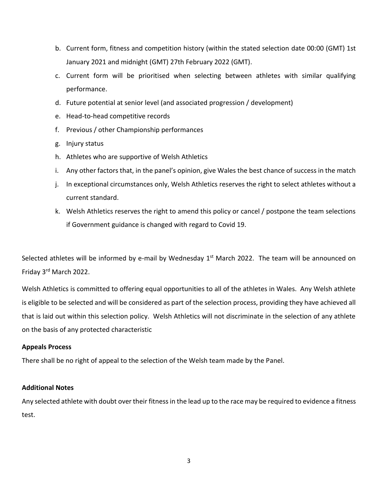- b. Current form, fitness and competition history (within the stated selection date 00:00 (GMT) 1st January 2021 and midnight (GMT) 27th February 2022 (GMT).
- c. Current form will be prioritised when selecting between athletes with similar qualifying performance.
- d. Future potential at senior level (and associated progression / development)
- e. Head-to-head competitive records
- f. Previous / other Championship performances
- g. Injury status
- h. Athletes who are supportive of Welsh Athletics
- i. Any other factors that, in the panel's opinion, give Wales the best chance of success in the match
- j. In exceptional circumstances only, Welsh Athletics reserves the right to select athletes without a current standard.
- k. Welsh Athletics reserves the right to amend this policy or cancel / postpone the team selections if Government guidance is changed with regard to Covid 19.

Selected athletes will be informed by e-mail by Wednesday 1<sup>st</sup> March 2022. The team will be announced on Friday 3<sup>rd</sup> March 2022.

Welsh Athletics is committed to offering equal opportunities to all of the athletes in Wales. Any Welsh athlete is eligible to be selected and will be considered as part of the selection process, providing they have achieved all that is laid out within this selection policy. Welsh Athletics will not discriminate in the selection of any athlete on the basis of any protected characteristic

## **Appeals Process**

There shall be no right of appeal to the selection of the Welsh team made by the Panel.

#### **Additional Notes**

Any selected athlete with doubt over their fitness in the lead up to the race may be required to evidence a fitness test.